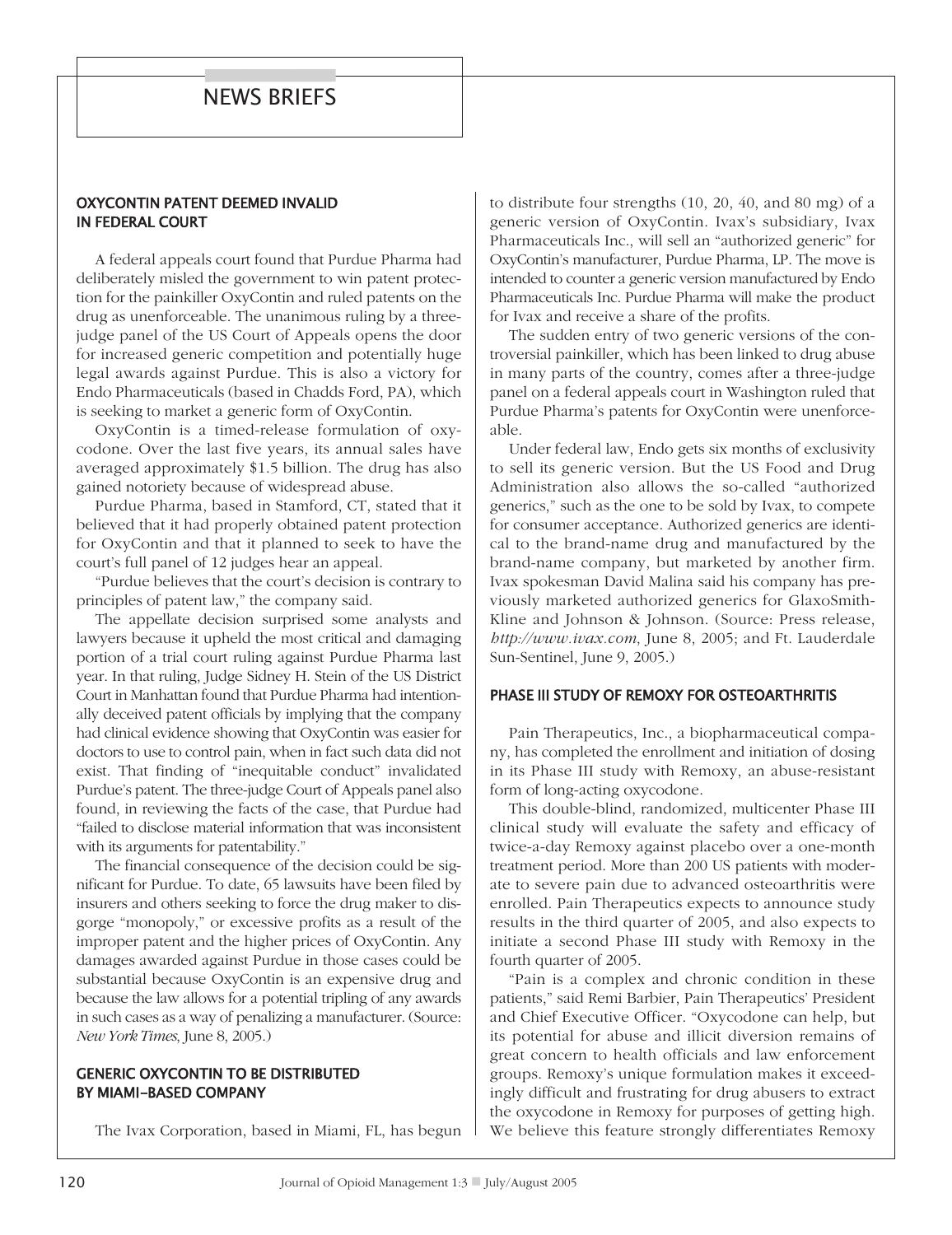# news briefs

## OXYCONTIN PATENT DEEMED INVALID in federal COurt

A federal appeals court found that Purdue Pharma had deliberately misled the government to win patent protection for the painkiller OxyContin and ruled patents on the drug as unenforceable. The unanimous ruling by a threejudge panel of the US Court of Appeals opens the door for increased generic competition and potentially huge legal awards against Purdue. This is also a victory for Endo Pharmaceuticals (based in Chadds Ford, PA), which is seeking to market a generic form of OxyContin.

OxyContin is a timed-release formulation of oxycodone. Over the last five years, its annual sales have averaged approximately \$1.5 billion. The drug has also gained notoriety because of widespread abuse.

Purdue Pharma, based in Stamford, CT, stated that it believed that it had properly obtained patent protection for OxyContin and that it planned to seek to have the court's full panel of 12 judges hear an appeal.

"Purdue believes that the court's decision is contrary to principles of patent law," the company said.

The appellate decision surprised some analysts and lawyers because it upheld the most critical and damaging portion of a trial court ruling against Purdue Pharma last year. In that ruling, Judge Sidney H. Stein of the US District Court in Manhattan found that Purdue Pharma had intentionally deceived patent officials by implying that the company had clinical evidence showing that OxyContin was easier for doctors to use to control pain, when in fact such data did not exist. That finding of "inequitable conduct" invalidated Purdue's patent. The three-judge Court of Appeals panel also found, in reviewing the facts of the case, that Purdue had "failed to disclose material information that was inconsistent with its arguments for patentability."

The financial consequence of the decision could be significant for Purdue. To date, 65 lawsuits have been filed by insurers and others seeking to force the drug maker to disgorge "monopoly," or excessive profits as a result of the improper patent and the higher prices of OxyContin. Any damages awarded against Purdue in those cases could be substantial because OxyContin is an expensive drug and because the law allows for a potential tripling of any awards in such cases as a way of penalizing a manufacturer. (Source: *New York Times*, June 8, 2005.)

## **GENERIC OXYCONTIN TO BE DISTRIBUTED** by miami-based COmpany

The Ivax Corporation, based in Miami, FL, has begun

to distribute four strengths (10, 20, 40, and 80 mg) of a generic version of OxyContin. Ivax's subsidiary, Ivax Pharmaceuticals Inc., will sell an "authorized generic" for OxyContin's manufacturer, Purdue Pharma, LP. The move is intended to counter a generic version manufactured by Endo Pharmaceuticals Inc. Purdue Pharma will make the product for Ivax and receive a share of the profits.

The sudden entry of two generic versions of the controversial painkiller, which has been linked to drug abuse in many parts of the country, comes after a three-judge panel on a federal appeals court in Washington ruled that Purdue Pharma's patents for OxyContin were unenforceable.

Under federal law, Endo gets six months of exclusivity to sell its generic version. But the US Food and Drug Administration also allows the so-called "authorized generics," such as the one to be sold by Ivax, to compete for consumer acceptance. Authorized generics are identical to the brand-name drug and manufactured by the brand-name company, but marketed by another firm. Ivax spokesman David Malina said his company has previously marketed authorized generics for GlaxoSmith-Kline and Johnson & Johnson. (Source: Press release, *http://www.ivax.com*, June 8, 2005; and Ft. Lauderdale Sun-Sentinel, June 9, 2005.)

#### phase iii study Of remOxy fOr OsteOarthritis

Pain Therapeutics, Inc., a biopharmaceutical company, has completed the enrollment and initiation of dosing in its Phase III study with Remoxy, an abuse-resistant form of long-acting oxycodone.

This double-blind, randomized, multicenter Phase III clinical study will evaluate the safety and efficacy of twice-a-day Remoxy against placebo over a one-month treatment period. More than 200 US patients with moderate to severe pain due to advanced osteoarthritis were enrolled. Pain Therapeutics expects to announce study results in the third quarter of 2005, and also expects to initiate a second Phase III study with Remoxy in the fourth quarter of 2005.

"Pain is a complex and chronic condition in these patients," said Remi Barbier, Pain Therapeutics' President and Chief Executive Officer. "Oxycodone can help, but its potential for abuse and illicit diversion remains of great concern to health officials and law enforcement groups. Remoxy's unique formulation makes it exceedingly difficult and frustrating for drug abusers to extract the oxycodone in Remoxy for purposes of getting high. We believe this feature strongly differentiates Remoxy